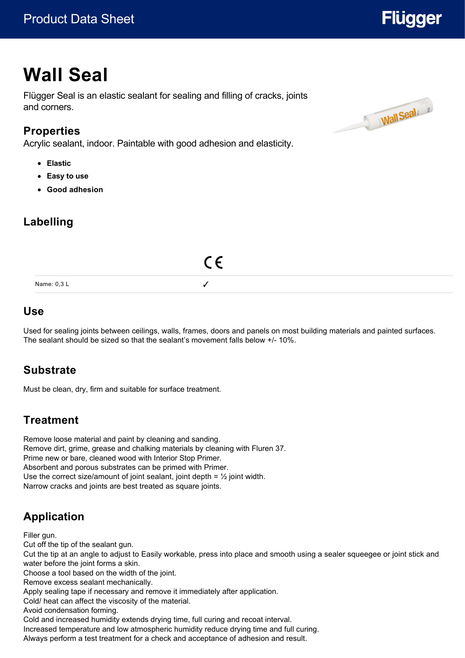# **Flügger**

# **Wall Seal**

Flügger Seal is an elastic sealant for sealing and filling of cracks, joints and corners.

### **Properties**

Acrylic sealant, indoor. Paintable with good adhesion and elasticity.

- **Elastic**
- **Easy to use**
- **Good adhesion**

# **Labelling**



#### **Use**

Used for sealing joints between ceilings, walls, frames, doors and panels on most building materials and painted surfaces. The sealant should be sized so that the sealant's movement falls below +/- 10%.

# **Substrate**

Must be clean, dry, firm and suitable for surface treatment.

# **Treatment**

Remove loose material and paint by cleaning and sanding. Remove dirt, grime, grease and chalking materials by cleaning with Fluren 37. Prime new or bare, cleaned wood with Interior Stop Primer. Absorbent and porous substrates can be primed with Primer. Use the correct size/amount of joint sealant, joint depth =  $\frac{1}{2}$  joint width. Narrow cracks and joints are best treated as square joints.

# **Application**

Filler gun.

Cut off the tip of the sealant gun.

Cut the tip at an angle to adjust to Easily workable, press into place and smooth using a sealer squeegee or joint stick and water before the joint forms a skin.

Choose a tool based on the width of the joint.

Remove excess sealant mechanically.

Apply sealing tape if necessary and remove it immediately after application.

Cold/ heat can affect the viscosity of the material.

Avoid condensation forming.

Cold and increased humidity extends drying time, full curing and recoat interval.

Increased temperature and low atmospheric humidity reduce drying time and full curing.

Always perform a test treatment for a check and acceptance of adhesion and result.